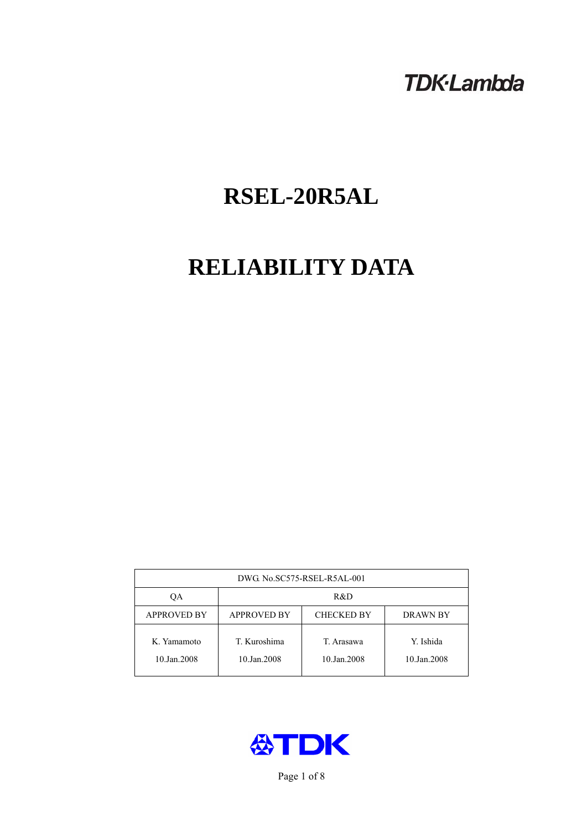## **TDK-Lambda**

# **RSEL-20R5AL**

# **RELIABILITY DATA**

| DWG No.SC575-RSEL-R5AL-001 |                                                     |                           |                          |  |  |
|----------------------------|-----------------------------------------------------|---------------------------|--------------------------|--|--|
| OА                         | R&D                                                 |                           |                          |  |  |
| <b>APPROVED BY</b>         | <b>APPROVED BY</b><br><b>CHECKED BY</b><br>DRAWN BY |                           |                          |  |  |
| K. Yamamoto<br>10.Jan.2008 | T. Kuroshima<br>10.Jan.2008                         | T. Arasawa<br>10.Jan.2008 | Y. Ishida<br>10.Jan.2008 |  |  |



Page 1 of 8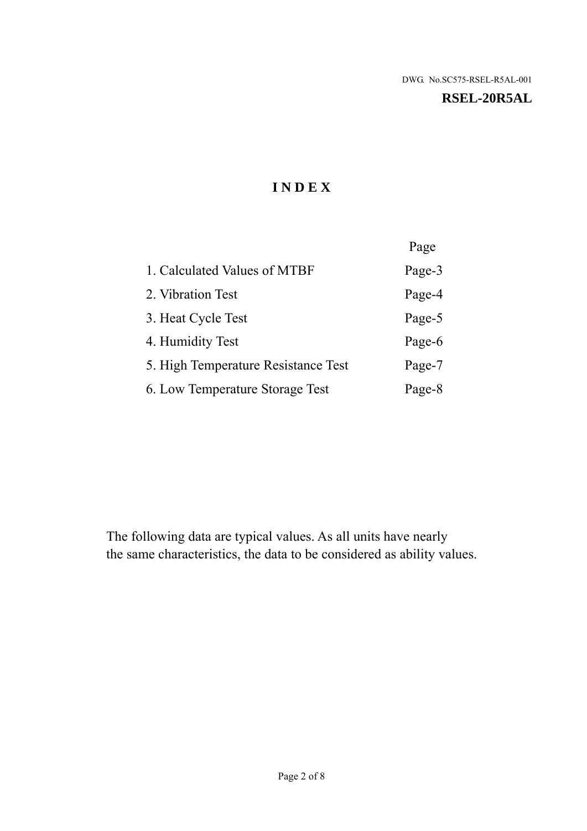#### **RSEL-20R5AL**

## **I N D E X**

|                                     | Page   |
|-------------------------------------|--------|
| 1. Calculated Values of MTBF        | Page-3 |
| 2. Vibration Test                   | Page-4 |
| 3. Heat Cycle Test                  | Page-5 |
| 4. Humidity Test                    | Page-6 |
| 5. High Temperature Resistance Test | Page-7 |
| 6. Low Temperature Storage Test     | Page-8 |

The following data are typical values. As all units have nearly the same characteristics, the data to be considered as ability values.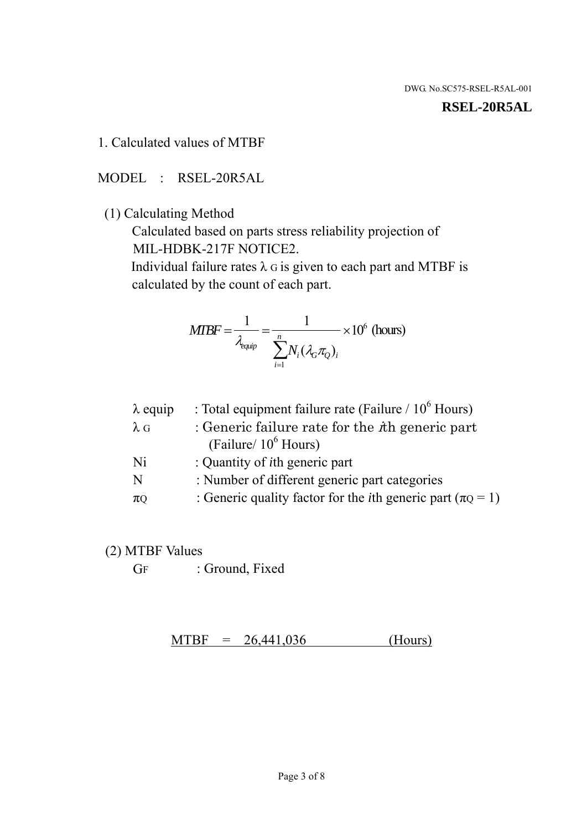#### **RSEL-20R5AL**

1. Calculated values of MTBF

MODEL : RSEL-20R5AL

(1) Calculating Method

 Calculated based on parts stress reliability projection of MIL-HDBK-217F NOTICE2.

Individual failure rates  $\lambda$  G is given to each part and MTBF is calculated by the count of each part.

$$
MIBF = \frac{1}{\lambda_{\text{equip}}} = \frac{1}{\sum_{i=1}^{n} N_i (\lambda_G \pi_Q)_i} \times 10^6 \text{ (hours)}
$$

| : Total equipment failure rate (Failure / $10^6$ Hours)                   |
|---------------------------------------------------------------------------|
| : Generic failure rate for the $\hbar$ generic part                       |
| (Failure/ $10^6$ Hours)                                                   |
| : Quantity of <i>i</i> th generic part                                    |
| : Number of different generic part categories                             |
| : Generic quality factor for the <i>i</i> th generic part ( $\pi Q = 1$ ) |
|                                                                           |

- (2) MTBF Values
	- GF : Ground, Fixed

 $MTBF = 26,441,036$  (Hours)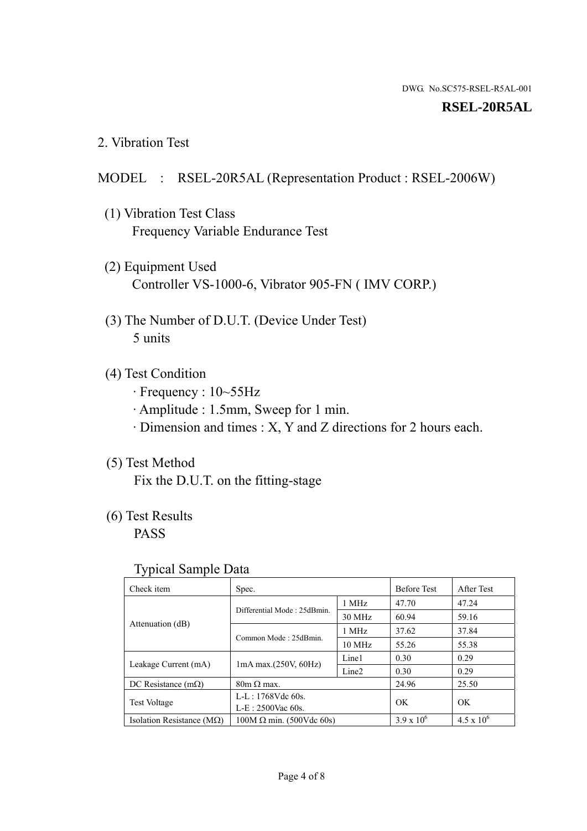#### **RSEL-20R5AL**

2. Vibration Test

### MODEL : RSEL-20R5AL (Representation Product : RSEL-2006W)

- (1) Vibration Test Class Frequency Variable Endurance Test
- (2) Equipment Used Controller VS-1000-6, Vibrator 905-FN ( IMV CORP.)
- (3) The Number of D.U.T. (Device Under Test) 5 units
- (4) Test Condition
	- · Frequency : 10~55Hz
	- · Amplitude : 1.5mm, Sweep for 1 min.
	- · Dimension and times : X, Y and Z directions for 2 hours each.

## (5) Test Method

Fix the D.U.T. on the fitting-stage

## (6) Test Results

PASS

#### Typical Sample Data

| . .                                |                                                         |                  |                     |                     |
|------------------------------------|---------------------------------------------------------|------------------|---------------------|---------------------|
| Check item                         | Spec.                                                   |                  | <b>Before Test</b>  | After Test          |
| Attenuation (dB)                   | Differential Mode: 25dBmin.                             | 1 MHz            | 47.70               | 47.24               |
|                                    |                                                         | 30 MHz           | 60.94               | 59.16               |
|                                    | Common Mode: 25dBmin.                                   | 1 MHz            | 37.62               | 37.84               |
|                                    |                                                         | $10 \text{ MHz}$ | 55.26               | 55.38               |
| Leakage Current (mA)               | Line1<br>$1mA$ max. $(250V, 60Hz)$<br>Line <sub>2</sub> |                  | 0.30                | 0.29                |
|                                    |                                                         |                  | 0.30                | 0.29                |
| DC Resistance $(m\Omega)$          | $80m \Omega$ max.                                       |                  | 24.96               | 25.50               |
| <b>Test Voltage</b>                | $L-L: 1768Vdc$ 60s.                                     |                  | OK                  | OK.                 |
|                                    | $L-E$ : 2500Vac 60s.                                    |                  |                     |                     |
| Isolation Resistance ( $M\Omega$ ) | $100M \Omega$ min. (500Vdc 60s)                         |                  | $3.9 \times 10^{6}$ | $4.5 \times 10^{6}$ |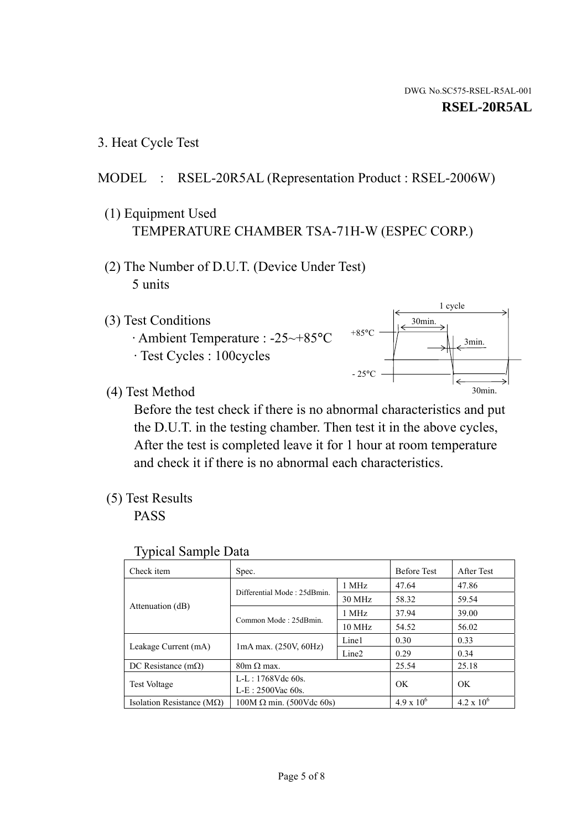1 cycle

30min.

3min.

30min.

3. Heat Cycle Test

## MODEL : RSEL-20R5AL (Representation Product : RSEL-2006W)

- (1) Equipment Used TEMPERATURE CHAMBER TSA-71H-W (ESPEC CORP.)
- (2) The Number of D.U.T. (Device Under Test) 5 units
- (3) Test Conditions
	- · Ambient Temperature : -25~+85°C · Test Cycles : 100cycles
- (4) Test Method

 Before the test check if there is no abnormal characteristics and put the D.U.T. in the testing chamber. Then test it in the above cycles, After the test is completed leave it for 1 hour at room temperature and check it if there is no abnormal each characteristics.

 $+85$ °C

 $-25$ °C

(5) Test Results

PASS

| <b>Typical Sample Data</b> |  |  |
|----------------------------|--|--|
|----------------------------|--|--|

| Check item                         | Spec.                           |                   | <b>Before Test</b> | After Test          |
|------------------------------------|---------------------------------|-------------------|--------------------|---------------------|
|                                    | Differential Mode: 25dBmin.     | 1 MHz             | 47.64              | 47.86               |
|                                    |                                 | 30 MHz            | 58.32              | 59.54               |
| Attenuation (dB)                   | Common Mode: 25dBmin.           | 1 MHz             | 37.94              | 39.00               |
|                                    |                                 | 10 MHz            | 54.52              | 56.02               |
| Leakage Current (mA)               | $1mA$ max. $(250V, 60Hz)$       | Line1             | 0.30               | 0.33                |
|                                    |                                 | Line <sub>2</sub> | 0.29               | 0.34                |
| DC Resistance $(m\Omega)$          | $80m \Omega$ max.               |                   | 25.54              | 25.18               |
| <b>Test Voltage</b>                | $L-L: 1768Vdc$ 60s.             |                   | OK                 | OK                  |
|                                    | $L-E: 2500$ Vac 60s.            |                   |                    |                     |
| Isolation Resistance ( $M\Omega$ ) | $100M \Omega$ min. (500Vdc 60s) |                   | $4.9 \times 10^6$  | $4.2 \times 10^{6}$ |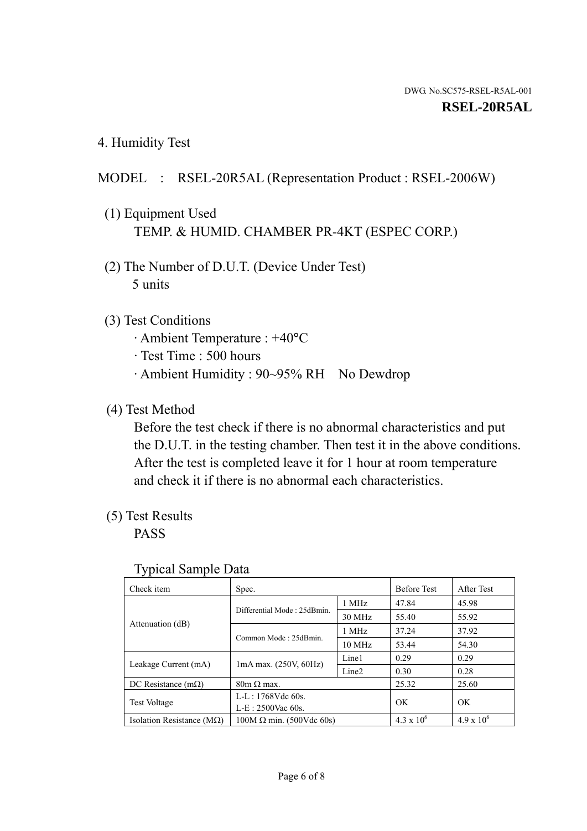4. Humidity Test

## MODEL : RSEL-20R5AL (Representation Product : RSEL-2006W)

- (1) Equipment Used TEMP. & HUMID. CHAMBER PR-4KT (ESPEC CORP.)
- (2) The Number of D.U.T. (Device Under Test) 5 units

## (3) Test Conditions

- · Ambient Temperature : +40°C
- · Test Time : 500 hours
- · Ambient Humidity : 90~95% RH No Dewdrop

## (4) Test Method

 Before the test check if there is no abnormal characteristics and put the D.U.T. in the testing chamber. Then test it in the above conditions. After the test is completed leave it for 1 hour at room temperature and check it if there is no abnormal each characteristics.

## (5) Test Results

PASS

| . .                                |                                 |                   |                     |                     |
|------------------------------------|---------------------------------|-------------------|---------------------|---------------------|
| Check item                         | Spec.                           |                   | <b>Before Test</b>  | After Test          |
| Attenuation (dB)                   | Differential Mode: 25dBmin.     | 1 MHz             | 47.84               | 45.98               |
|                                    |                                 | 30 MHz            | 55.40               | 55.92               |
|                                    | Common Mode: 25dBmin.           | 1 MHz             | 37.24               | 37.92               |
|                                    |                                 | 10 MHz            | 53.44               | 54.30               |
| Leakage Current (mA)               | $1mA$ max. $(250V, 60Hz)$       | Line1             | 0.29                | 0.29                |
|                                    |                                 | Line <sub>2</sub> | 0.30                | 0.28                |
| DC Resistance $(m\Omega)$          | $80m \Omega$ max.               |                   | 25.32               | 25.60               |
| <b>Test Voltage</b>                | $L-L: 1768Vdc$ 60s.             |                   | OK                  | OK                  |
|                                    | $L-E: 2500$ Vac 60s.            |                   |                     |                     |
| Isolation Resistance ( $M\Omega$ ) | $100M \Omega$ min. (500Vdc 60s) |                   | $4.3 \times 10^{6}$ | $4.9 \times 10^{6}$ |

#### Typical Sample Data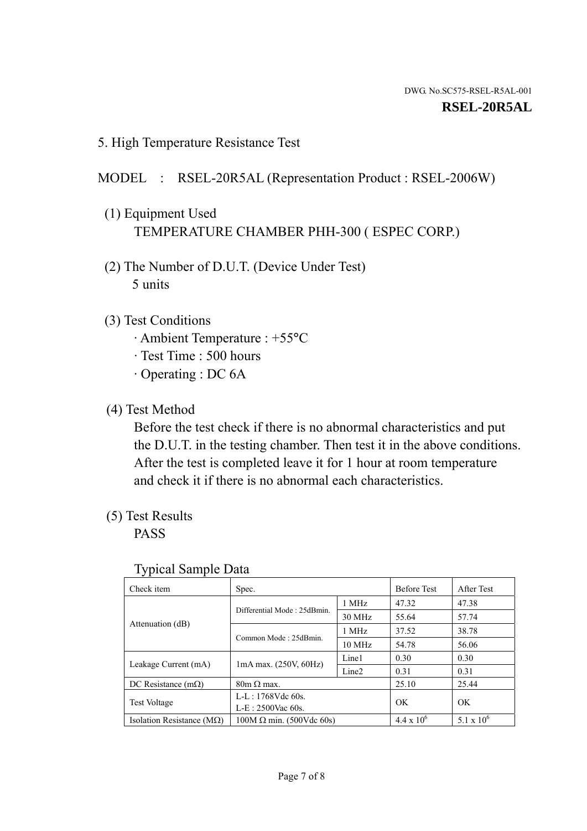5. High Temperature Resistance Test

## MODEL : RSEL-20R5AL (Representation Product : RSEL-2006W)

- (1) Equipment Used TEMPERATURE CHAMBER PHH-300 ( ESPEC CORP.)
- (2) The Number of D.U.T. (Device Under Test) 5 units
- (3) Test Conditions
	- · Ambient Temperature : +55°C
	- · Test Time : 500 hours
	- · Operating : DC 6A
- (4) Test Method

 Before the test check if there is no abnormal characteristics and put the D.U.T. in the testing chamber. Then test it in the above conditions. After the test is completed leave it for 1 hour at room temperature and check it if there is no abnormal each characteristics.

(5) Test Results

PASS

| J 1                                |                                 |                   |                     |              |
|------------------------------------|---------------------------------|-------------------|---------------------|--------------|
| Check item                         | Spec.                           |                   | <b>Before Test</b>  | After Test   |
|                                    | Differential Mode: 25dBmin.     | 1 MHz             | 47.32               | 47.38        |
|                                    |                                 | 30 MHz            | 55.64               | 57.74        |
| Attenuation (dB)                   | Common Mode: 25dBmin.           | 1 MHz             | 37.52               | 38.78        |
|                                    |                                 | $10 \text{ MHz}$  | 54.78               | 56.06        |
| Leakage Current (mA)               | $1mA$ max. $(250V, 60Hz)$       | Line1             | 0.30                | 0.30         |
|                                    |                                 | Line <sub>2</sub> | 0.31                | 0.31         |
| DC Resistance $(m\Omega)$          | $80m \Omega$ max.               |                   | 25.10               | 25.44        |
| <b>Test Voltage</b>                | $L-L: 1768Vdc$ 60s.             |                   | OK                  | OK           |
|                                    | $L-E: 2500$ Vac 60s.            |                   |                     |              |
| Isolation Resistance ( $M\Omega$ ) | $100M \Omega$ min. (500Vdc 60s) |                   | $4.4 \times 10^{6}$ | 5.1 x $10^6$ |

#### Typical Sample Data